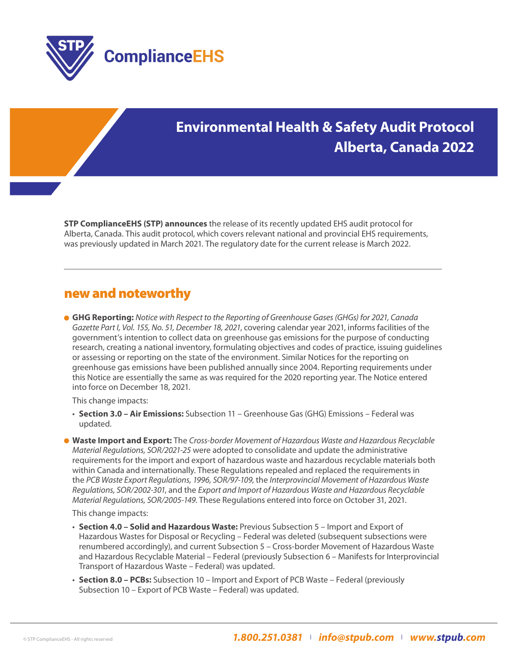

# **Environmental Health & Safety Audit Protocol Alberta, Canada 2022**

**STP ComplianceEHS (STP) announces** the release of its recently updated EHS audit protocol for Alberta, Canada. This audit protocol, which covers relevant national and provincial EHS requirements, was previously updated in March 2021. The regulatory date for the current release is March 2022.

### new and noteworthy

 **GHG Reporting:** *Notice with Respect to the Reporting of Greenhouse Gases (GHGs) for 2021, Canada Gazette Part I, Vol. 155, No. 51, December 18, 2021*, covering calendar year 2021, informs facilities of the government's intention to collect data on greenhouse gas emissions for the purpose of conducting research, creating a national inventory, formulating objectives and codes of practice, issuing guidelines or assessing or reporting on the state of the environment. Similar Notices for the reporting on greenhouse gas emissions have been published annually since 2004. Reporting requirements under this Notice are essentially the same as was required for the 2020 reporting year. The Notice entered into force on December 18, 2021.

This change impacts:

- • **Section 3.0 Air Emissions:** Subsection 11 Greenhouse Gas (GHG) Emissions Federal was updated.
- **Waste Import and Export:** The *Cross-border Movement of Hazardous Waste and Hazardous Recyclable Material Regulations, SOR/2021-25* were adopted to consolidate and update the administrative requirements for the import and export of hazardous waste and hazardous recyclable materials both within Canada and internationally. These Regulations repealed and replaced the requirements in the *PCB Waste Export Regulations, 1996, SOR/97-109*, the *Interprovincial Movement of Hazardous Waste Regulations, SOR/2002-301*, and the *Export and Import of Hazardous Waste and Hazardous Recyclable Material Regulations, SOR/2005-149*. These Regulations entered into force on October 31, 2021.

This change impacts:

- • **Section 4.0 Solid and Hazardous Waste:** Previous Subsection 5 Import and Export of Hazardous Wastes for Disposal or Recycling – Federal was deleted (subsequent subsections were renumbered accordingly), and current Subsection 5 – Cross-border Movement of Hazardous Waste and Hazardous Recyclable Material – Federal (previously Subsection 6 – Manifests for Interprovincial Transport of Hazardous Waste – Federal) was updated.
- • **Section 8.0 PCBs:** Subsection 10 Import and Export of PCB Waste Federal (previously Subsection 10 – Export of PCB Waste – Federal) was updated.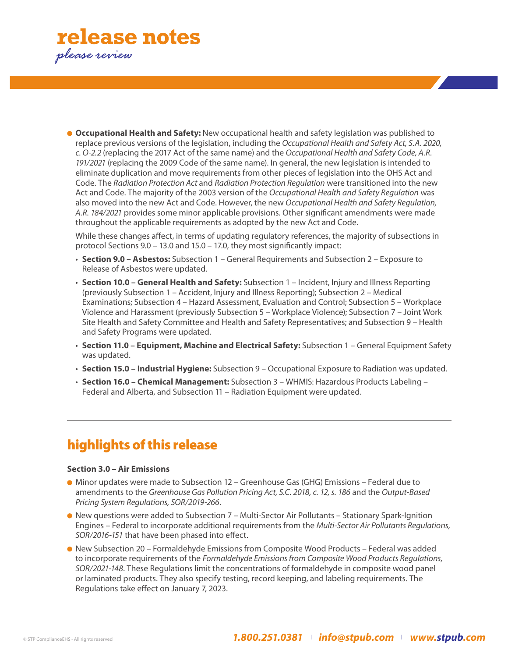

 **Occupational Health and Safety:** New occupational health and safety legislation was published to replace previous versions of the legislation, including the *Occupational Health and Safety Act, S.A. 2020, c. O-2.2* (replacing the 2017 Act of the same name) and the *Occupational Health and Safety Code, A.R. 191/2021* (replacing the 2009 Code of the same name). In general, the new legislation is intended to eliminate duplication and move requirements from other pieces of legislation into the OHS Act and Code. The *Radiation Protection Act* and *Radiation Protection Regulation* were transitioned into the new Act and Code. The majority of the 2003 version of the *Occupational Health and Safety Regulation* was also moved into the new Act and Code. However, the new *Occupational Health and Safety Regulation, A.R. 184/2021* provides some minor applicable provisions. Other significant amendments were made throughout the applicable requirements as adopted by the new Act and Code.

 While these changes affect, in terms of updating regulatory references, the majority of subsections in protocol Sections 9.0 – 13.0 and 15.0 – 17.0, they most significantly impact:

- • **Section 9.0 Asbestos:** Subsection 1 General Requirements and Subsection 2 Exposure to Release of Asbestos were updated.
- • **Section 10.0 General Health and Safety:** Subsection 1 Incident, Injury and Illness Reporting (previously Subsection 1 – Accident, Injury and Illness Reporting); Subsection 2 – Medical Examinations; Subsection 4 – Hazard Assessment, Evaluation and Control; Subsection 5 – Workplace Violence and Harassment (previously Subsection 5 – Workplace Violence); Subsection 7 – Joint Work Site Health and Safety Committee and Health and Safety Representatives; and Subsection 9 – Health and Safety Programs were updated.
- • **Section 11.0 Equipment, Machine and Electrical Safety:** Subsection 1 General Equipment Safety was updated.
- • **Section 15.0 Industrial Hygiene:** Subsection 9 Occupational Exposure to Radiation was updated.
- • **Section 16.0 Chemical Management:** Subsection 3 WHMIS: Hazardous Products Labeling Federal and Alberta, and Subsection 11 – Radiation Equipment were updated.

## highlights of this release

#### **Section 3.0 – Air Emissions**

- Minor updates were made to Subsection 12 Greenhouse Gas (GHG) Emissions Federal due to amendments to the *Greenhouse Gas Pollution Pricing Act, S.C. 2018, c. 12, s. 186* and the *Output-Based Pricing System Regulations, SOR/2019-266*.
- New questions were added to Subsection 7 Multi-Sector Air Pollutants Stationary Spark-Ignition Engines – Federal to incorporate additional requirements from the *Multi-Sector Air Pollutants Regulations, SOR/2016-151* that have been phased into effect.
- New Subsection 20 Formaldehyde Emissions from Composite Wood Products Federal was added to incorporate requirements of the *Formaldehyde Emissions from Composite Wood Products Regulations, SOR/2021-148*. These Regulations limit the concentrations of formaldehyde in composite wood panel or laminated products. They also specify testing, record keeping, and labeling requirements. The Regulations take effect on January 7, 2023.